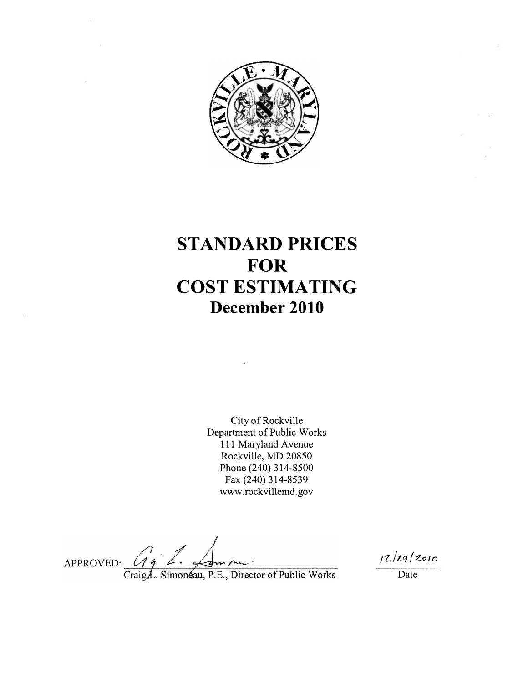

# **STANDARD PRICES FOR COST ESTIMATING December 2010**

City of Rockville Department of Public Works 111 Maryland Avenue Rockville, MD 20850 Phone (240) 314-8500 Fax (240) 314-8539 www.rockvillemd.gov

APPROVED:

*rz..l* t.q / Z.o *I 0*

Date

Craig L. Simonéau, P.E., Director of Public Works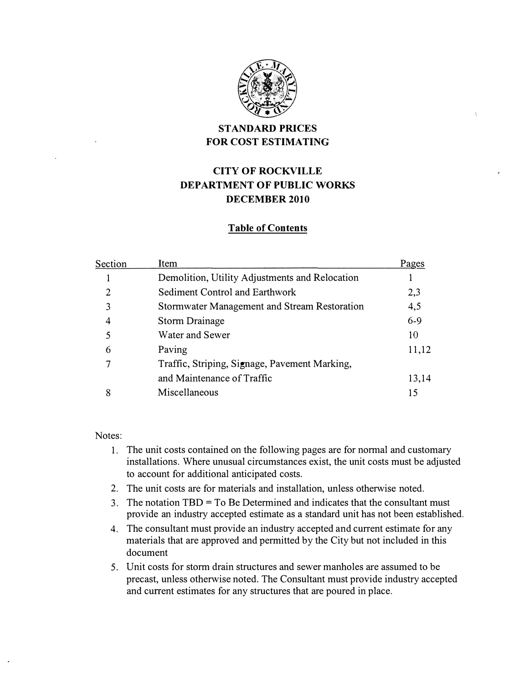

# **STANDARD PRICES FOR COST ESTIMATING**

# **CITY OF ROCKVILLE DEPARTMENT OF PUBLIC WORKS DECEMBER 2010**

## **Table of Contents**

| Section | Item                                           | Pages   |
|---------|------------------------------------------------|---------|
|         | Demolition, Utility Adjustments and Relocation |         |
| 2       | Sediment Control and Earthwork                 | 2,3     |
| 3       | Stormwater Management and Stream Restoration   | 4,5     |
| 4       | <b>Storm Drainage</b>                          | $6 - 9$ |
| 5       | Water and Sewer                                | 10      |
| 6       | Paving                                         | 11,12   |
| 7       | Traffic, Striping, Signage, Pavement Marking,  |         |
|         | and Maintenance of Traffic                     | 13,14   |
| 8       | Miscellaneous                                  | 15      |

Notes:

- 1. The unit costs contained on the following pages are for normal and customary installations. Where unusual circumstances exist, the unit costs must be adjusted to account for additional anticipated costs.
- 2. The unit costs are for materials and installation, unless otherwise noted.
- 3. The notation TBD = To Be Determined and indicates that the consultant must provide an industry accepted estimate as a standard unit has not been established.
- 4. The consultant must provide an industry accepted and current estimate for any materials that are approved and permitted by the City but not included in this document
- 5. Unit costs for storm drain structures and sewer manholes are assumed to be precast, unless otherwise noted. The Consultant must provide industry accepted and current estimates for any structures that are poured in place.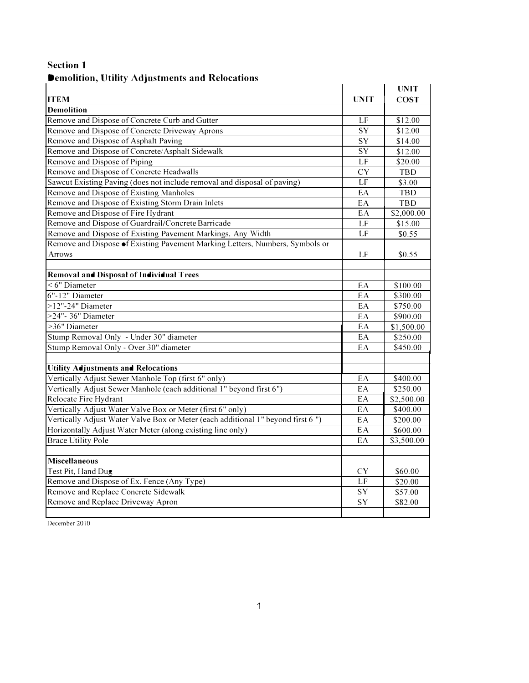# **Section 1 Demolition, Utility Adjustments and Relocations**

|                                                                                 |                 | <b>UNIT</b> |
|---------------------------------------------------------------------------------|-----------------|-------------|
| <b>ITEM</b>                                                                     | <b>UNIT</b>     | <b>COST</b> |
| <b>Demolition</b>                                                               |                 |             |
| Remove and Dispose of Concrete Curb and Gutter                                  | LF              | \$12.00     |
| Remove and Dispose of Concrete Driveway Aprons                                  | $\overline{SY}$ | \$12.00     |
| Remove and Dispose of Asphalt Paving                                            | <b>SY</b>       | \$14.00     |
| Remove and Dispose of Concrete/Asphalt Sidewalk                                 | SY              | \$12.00     |
| Remove and Dispose of Piping                                                    | LF              | \$20.00     |
| Remove and Dispose of Concrete Headwalls                                        | <b>CY</b>       | TBD         |
| Sawcut Existing Paving (does not include removal and disposal of paving)        | LF              | \$3.00      |
| Remove and Dispose of Existing Manholes                                         | EA              | <b>TBD</b>  |
| Remove and Dispose of Existing Storm Drain Inlets                               | EA              | TBD         |
| Remove and Dispose of Fire Hydrant                                              | EA              | \$2,000.00  |
| Remove and Dispose of Guardrail/Concrete Barricade                              | LF              | \$15.00     |
| Remove and Dispose of Existing Pavement Markings, Any Width                     | LF              | \$0.55      |
| Remove and Dispose of Existing Pavement Marking Letters, Numbers, Symbols or    |                 |             |
| <b>Arrows</b>                                                                   | LF              | \$0.55      |
|                                                                                 |                 |             |
| Removal and Disposal of Individual Trees                                        |                 |             |
| $<$ 6" Diameter                                                                 | EA              | \$100.00    |
| 6"-12" Diameter                                                                 | $E\overline{A}$ | \$300.00    |
| >12"-24" Diameter                                                               | EA              | \$750.00    |
| >24"- 36" Diameter                                                              | EA              | \$900.00    |
| >36" Diameter                                                                   | EA              | \$1,500.00  |
| Stump Removal Only - Under 30" diameter                                         | EA              | \$250.00    |
| Stump Removal Only - Over 30" diameter                                          | EA              | \$450.00    |
|                                                                                 |                 |             |
| <b>Utility Adjustments and Relocations</b>                                      |                 |             |
| Vertically Adjust Sewer Manhole Top (first 6" only)                             | EA              | \$400.00    |
| Vertically Adjust Sewer Manhole (each additional 1" beyond first 6")            | EA              | \$250.00    |
| Relocate Fire Hydrant                                                           | EA              | \$2,500.00  |
| Vertically Adjust Water Valve Box or Meter (first 6" only)                      | EA              | \$400.00    |
| Vertically Adjust Water Valve Box or Meter (each additional 1" beyond first 6") | EA              | \$200.00    |
| Horizontally Adjust Water Meter (along existing line only)                      | EA              | \$600.00    |
| <b>Brace Utility Pole</b>                                                       | EA              | \$3,500.00  |
|                                                                                 |                 |             |
| <b>Miscellaneous</b>                                                            |                 |             |
| Test Pit, Hand Dug                                                              | <b>CY</b>       | \$60.00     |
| Remove and Dispose of Ex. Fence (Any Type)                                      | LF              | \$20.00     |
| Remove and Replace Concrete Sidewalk                                            | SY              | \$57.00     |
| Remove and Replace Driveway Apron                                               | SY              | \$82.00     |
|                                                                                 |                 |             |

December 20IO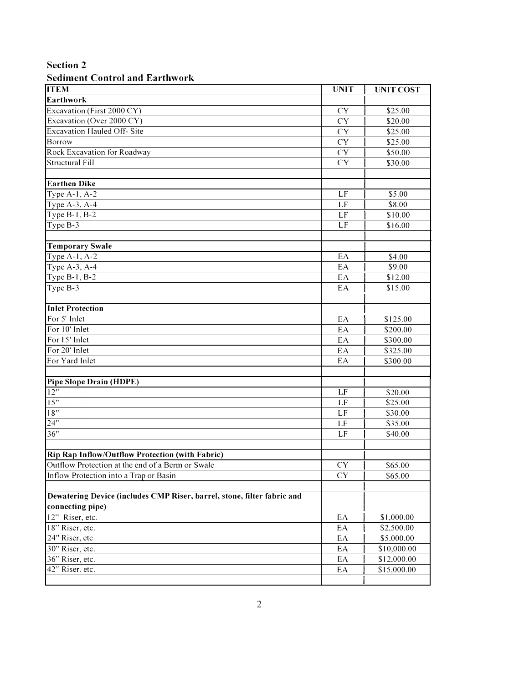## **Sediment Control and Earthwork**

| <b>ITEM</b>                                                             | <b>UNIT</b>     | <b>UNIT COST</b> |
|-------------------------------------------------------------------------|-----------------|------------------|
| Earthwork                                                               |                 |                  |
| Excavation (First 2000 CY)                                              | <b>CY</b>       | \$25.00          |
| Excavation (Over 2000 CY)                                               | CY              | \$20.00          |
| <b>Excavation Hauled Off- Site</b>                                      | CY              | \$25.00          |
| <b>Borrow</b>                                                           | CY              | \$25.00          |
| Rock Excavation for Roadway                                             | CY              | \$50.00          |
| <b>Structural Fill</b>                                                  | <b>CY</b>       | \$30.00          |
|                                                                         |                 |                  |
| <b>Earthen Dike</b>                                                     |                 |                  |
| Type $A-1$ , $A-2$                                                      | LF              | \$5.00           |
| Type A-3, A-4                                                           | LF              | \$8.00           |
| Type $B-1$ , $B-2$                                                      | LF              | \$10.00          |
| Type $B-3$                                                              | LF              | \$16.00          |
|                                                                         |                 |                  |
| <b>Temporary Swale</b>                                                  |                 |                  |
| Type $A-1$ , $A-2$                                                      | EA              | \$4.00           |
| Type $A-3$ , $A-4$                                                      | EA              | \$9.00           |
| Type $B-1$ , $B-2$                                                      | EA              | \$12.00          |
| Type $B-3$                                                              | EA              | \$15.00          |
|                                                                         |                 |                  |
| <b>Inlet Protection</b>                                                 |                 |                  |
| For 5' Inlet                                                            | EA              | \$125.00         |
| For 10' Inlet                                                           | EA              | \$200.00         |
| For 15' Inlet                                                           | EA              | \$300.00         |
| For 20' Inlet                                                           | EA              | \$325.00         |
| For Yard Inlet                                                          | EA              | \$300.00         |
|                                                                         |                 |                  |
| <b>Pipe Slope Drain (HDPE)</b>                                          |                 |                  |
| $\overline{12}$ "                                                       | LF              | \$20.00          |
| 15"                                                                     | LF              | \$25.00          |
| $\overline{18"}$                                                        | $\overline{LF}$ | \$30.00          |
| $\overline{24"}$                                                        | LF              | \$35.00          |
| 36"                                                                     | LF              | \$40.00          |
|                                                                         |                 |                  |
| <b>Rip Rap Inflow/Outflow Protection (with Fabric)</b>                  |                 |                  |
| Outflow Protection at the end of a Berm or Swale                        | <b>CY</b>       | \$65.00          |
| Inflow Protection into a Trap or Basin                                  | <b>CY</b>       | \$65.00          |
|                                                                         |                 |                  |
| Dewatering Device (includes CMP Riser, barrel, stone, filter fabric and |                 |                  |
| connecting pipe)                                                        |                 |                  |
| 12" Riser, etc.                                                         | EA              | \$1,000.00       |
| 18" Riser, etc.                                                         | EA              | \$2,500.00       |
| 24" Riser, etc.                                                         | EA              | \$5,000.00       |
| 30" Riser, etc.                                                         | EA              | \$10,000.00      |
| 36" Riser, etc.                                                         | EA              | \$12,000.00      |
| 42" Riser, etc.                                                         | EA              | \$15,000.00      |
|                                                                         |                 |                  |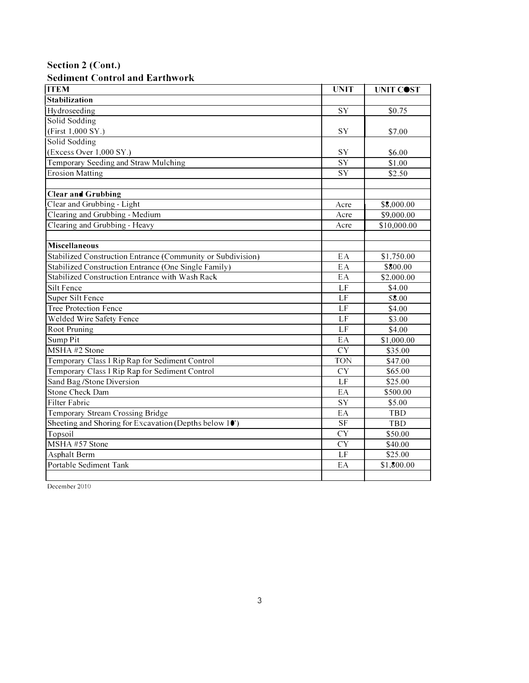**Section 2 (Cont.)** 

## **Sediment Control and Earthwork**

| <b>ITEM</b>                                                 | <b>UNIT</b>            | UNIT COST   |
|-------------------------------------------------------------|------------------------|-------------|
| <b>Stabilization</b>                                        |                        |             |
| Hydroseeding                                                | SY                     | \$0.75      |
| Solid Sodding                                               |                        |             |
| (First 1,000 SY.)                                           | SY                     | \$7.00      |
| Solid Sodding                                               |                        |             |
| (Excess Over 1,000 SY.)                                     | SY                     | \$6.00      |
| Temporary Seeding and Straw Mulching                        | $\overline{SY}$        | \$1.00      |
| <b>Erosion Matting</b>                                      | SY                     | \$2.50      |
|                                                             |                        |             |
| <b>Clear and Grubbing</b>                                   |                        |             |
| Clear and Grubbing - Light                                  | Acre                   | \$8,000.00  |
| Clearing and Grubbing - Medium                              | Acre                   | \$9,000.00  |
| Clearing and Grubbing - Heavy                               | Acre                   | \$10,000.00 |
|                                                             |                        |             |
| <b>Miscellaneous</b>                                        |                        |             |
| Stabilized Construction Entrance (Community or Subdivision) | EA                     | \$1,750.00  |
| Stabilized Construction Entrance (One Single Family)        | EA                     | \$800.00    |
| Stabilized Construction Entrance with Wash Rack             | EA                     | \$2,000.00  |
| Silt Fence                                                  | LF                     | \$4.00      |
| Super Silt Fence                                            | LF                     | \$8.00      |
| <b>Tree Protection Fence</b>                                | LF                     | \$4.00      |
| Welded Wire Safety Fence                                    | LF                     | \$3.00      |
| Root Pruning                                                | LF                     | \$4.00      |
| Sump Pit                                                    | EA                     | \$1,000.00  |
| MSHA #2 Stone                                               | <b>CY</b>              | \$35.00     |
| Temporary Class I Rip Rap for Sediment Control              | <b>TON</b>             | \$47.00     |
| Temporary Class I Rip Rap for Sediment Control              | <b>CY</b>              | \$65.00     |
| Sand Bag/Stone Diversion                                    | LF                     | \$25.00     |
| <b>Stone Check Dam</b>                                      | EA                     | \$500.00    |
| Filter Fabric                                               | <b>SY</b>              | \$5.00      |
| Temporary Stream Crossing Bridge                            | EA                     | TBD         |
| Sheeting and Shoring for Excavation (Depths below 10')      | $\overline{\text{SF}}$ | TBD         |
| Topsoil                                                     | <b>CY</b>              | \$50.00     |
| MSHA #57 Stone                                              | <b>CY</b>              | \$40.00     |
| Asphalt Berm                                                | LF                     | \$25.00     |
| Portable Sediment Tank                                      | EA                     | \$1,800.00  |
|                                                             |                        |             |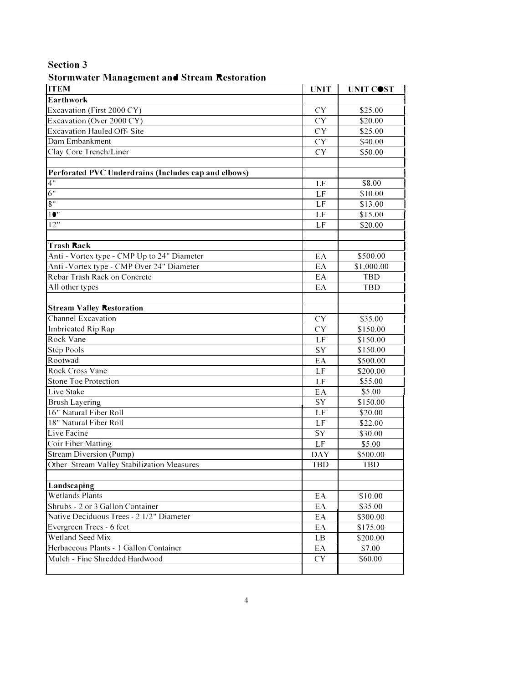## **Stormwater Management and Stream Restoration**

| <b>ITEM</b>                                          | <b>UNIT</b> | UNIT COST  |
|------------------------------------------------------|-------------|------------|
| <b>Earthwork</b>                                     |             |            |
| Excavation (First 2000 CY)                           | <b>CY</b>   | \$25.00    |
| Excavation (Over 2000 CY)                            | <b>CY</b>   | \$20.00    |
| <b>Excavation Hauled Off-Site</b>                    | <b>CY</b>   | \$25.00    |
| Dam Embankment                                       | <b>CY</b>   | \$40.00    |
| Clay Core Trench/Liner                               | <b>CY</b>   | \$50.00    |
|                                                      |             |            |
| Perforated PVC Underdrains (Includes cap and elbows) |             |            |
| $\overline{4"}$                                      | LF          | \$8.00     |
| 6"                                                   | LF          | \$10.00    |
| 8"                                                   | LF          | \$13.00    |
| 10"                                                  | LF          | \$15.00    |
| 12"                                                  | LF          | \$20.00    |
|                                                      |             |            |
| Trash Rack                                           |             |            |
| Anti - Vortex type - CMP Up to 24" Diameter          | EA          | \$500.00   |
| Anti - Vortex type - CMP Over 24" Diameter           | EA          | \$1,000.00 |
| Rebar Trash Rack on Concrete                         | EA          | <b>TBD</b> |
| All other types                                      | EA          | <b>TBD</b> |
|                                                      |             |            |
| <b>Stream Valley Restoration</b>                     |             |            |
| Channel Excavation                                   | <b>CY</b>   | \$35.00    |
| Imbricated Rip Rap                                   | <b>CY</b>   | \$150.00   |
| Rock Vane                                            | LF          | \$150.00   |
| Step Pools                                           | SY          | \$150.00   |
| Rootwad                                              | EA          | \$500.00   |
| Rock Cross Vane                                      | LF          | \$200.00   |
| <b>Stone Toe Protection</b>                          | LF          | \$55.00    |
| Live Stake                                           | EA          | \$5.00     |
| <b>Brush Layering</b>                                | SY          | \$150.00   |
| 16" Natural Fiber Roll                               | LF          | \$20.00    |
| 18" Natural Fiber Roll                               | LF          | \$22.00    |
| Live Facine                                          | SY          | \$30.00    |
| Coir Fiber Matting                                   | LF          | \$5.00     |
| Stream Diversion (Pump)                              | <b>DAY</b>  | \$500.00   |
| Other Stream Valley Stabilization Measures           | <b>TBD</b>  | <b>TBD</b> |
|                                                      |             |            |
| Landscaping                                          |             |            |
| <b>Wetlands Plants</b>                               | EA          | \$10.00    |
| Shrubs - 2 or 3 Gallon Container                     | EA          | \$35.00    |
| Native Deciduous Trees - 2 1/2" Diameter             | EA          | \$300.00   |
| Evergreen Trees - 6 feet                             | EA          | \$175.00   |
| Wetland Seed Mix                                     | LB          | \$200.00   |
| Herbaceous Plants - 1 Gallon Container               | EA          | \$7.00     |
| Mulch - Fine Shredded Hardwood                       | CY          | \$60.00    |
|                                                      |             |            |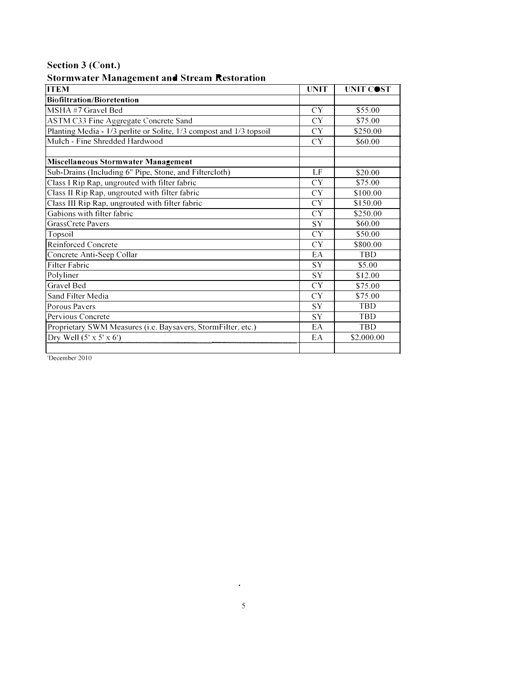# **Section 3 (Cont.)**

## **Stormwater Management and Stream Restoration**

| o<br><b>ITEM</b>                                                    | <b>UNIT</b> | UNIT COST  |
|---------------------------------------------------------------------|-------------|------------|
| <b>Biofiltration/Bioretention</b>                                   |             |            |
| MSHA#7 Gravel Bed                                                   | CY          | \$55.00    |
| ASTM C33 Fine Aggregate Concrete Sand                               | CY          | \$75.00    |
| Planting Media - 1/3 perlite or Solite, 1/3 compost and 1/3 topsoil | CY          | \$250.00   |
| Mulch - Fine Shredded Hardwood                                      | CY          | \$60.00    |
|                                                                     |             |            |
| <b>Miscellaneous Stormwater Management</b>                          |             |            |
| Sub-Drains (Including 6" Pipe, Stone, and Filtercloth)              | LF.         | \$20.00    |
| Class I Rip Rap, ungrouted with filter fabric                       | CY          | \$75.00    |
| Class II Rip Rap, ungrouted with filter fabric                      | CY          | \$100.00   |
| Class III Rip Rap, ungrouted with filter fabric                     | CY          | \$150.00   |
| Gabions with filter fabric                                          | CY          | \$250.00   |
| GrassCrete Pavers                                                   | SY          | \$60.00    |
| Topsoil                                                             | <b>CY</b>   | \$50.00    |
| Reinforced Concrete                                                 | CY          | \$800.00   |
| Concrete Anti-Seep Collar                                           | EA          | <b>TBD</b> |
| Filter Fabric                                                       | SY          | \$5.00     |
| Polyliner                                                           | <b>SY</b>   | \$12.00    |
| <b>Gravel Bed</b>                                                   | CY          | \$75.00    |
| Sand Filter Media                                                   | <b>CY</b>   | \$75.00    |
| Porous Pavers                                                       | SY          | <b>TBD</b> |
| Pervious Concrete                                                   | <b>SY</b>   | <b>TBD</b> |
| Proprietary SWM Measures (i.e. Baysavers, StormFilter, etc.)        | EA          | <b>TBD</b> |
| Dry Well $(5' \times 5' \times 6')$                                 | EA          | \$2,000.00 |
|                                                                     |             |            |

'December 20IO

 $\mathcal{A}^{\text{max}}_{\text{max}}$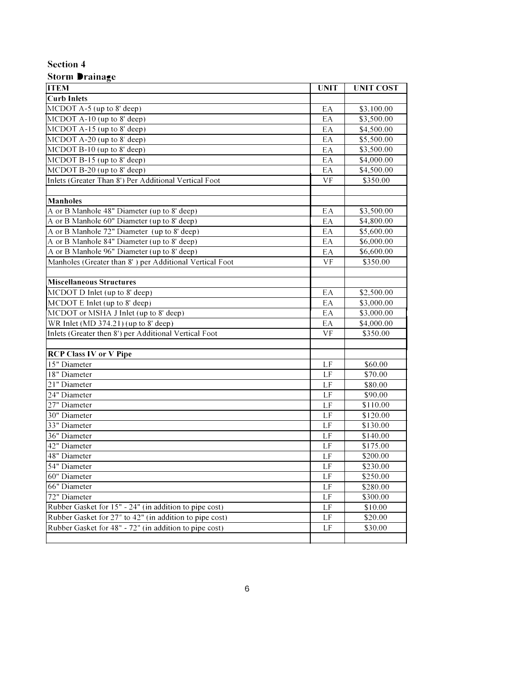#### **Storm Drainage**

| <b>ITEM</b>                                             | <b>UNIT</b>     | <b>UNIT COST</b> |
|---------------------------------------------------------|-----------------|------------------|
| <b>Curb Inlets</b>                                      |                 |                  |
| MCDOT A-5 (up to 8' deep)                               | EA              | \$3,100.00       |
| $MCDO$ T A-10 (up to 8' deep)                           | EA              | \$3,500.00       |
| MCDOT A-15 (up to 8' deep)                              | EA              | \$4,500.00       |
| MCDOT A-20 (up to $8'$ deep)                            | EA              | \$5,500.00       |
| $MCDOT B-10$ (up to 8' deep)                            | EA              | \$3,500.00       |
| $MCDOT B-15$ (up to 8' deep)                            | EA              | \$4,000.00       |
| MCDOT B-20 (up to 8' deep)                              | EA              | \$4,500.00       |
| Inlets (Greater Than 8') Per Additional Vertical Foot   | VF              | \$350.00         |
|                                                         |                 |                  |
| <b>Manholes</b>                                         |                 |                  |
| A or B Manhole 48" Diameter (up to 8' deep)             | EA              | \$3,500.00       |
| A or B Manhole 60" Diameter (up to 8' deep)             | EA              | \$4,800.00       |
| A or B Manhole 72" Diameter (up to 8' deep)             | EA              | \$5,600.00       |
| A or B Manhole 84" Diameter (up to 8' deep)             | EA              | \$6,000.00       |
| A or B Manhole 96" Diameter (up to 8' deep)             | EA              | \$6,600.00       |
| Manholes (Greater than 8') per Additional Vertical Foot | $V\overline{F}$ | \$350.00         |
|                                                         |                 |                  |
| <b>Miscellaneous Structures</b>                         |                 |                  |
| MCDOT D Inlet (up to 8' deep)                           | EA              | \$2,500.00       |
| MCDOT E Inlet (up to 8' deep)                           | EA              | \$3,000.00       |
| MCDOT or MSHA J Inlet (up to 8' deep)                   | EA              | \$3,000.00       |
| WR Inlet (MD 374.21) (up to 8' deep)                    | EA              | \$4,000.00       |
| Inlets (Greater then 8') per Additional Vertical Foot   | <b>VF</b>       | \$350.00         |
|                                                         |                 |                  |
| <b>RCP Class IV or V Pipe</b>                           |                 |                  |
| 15" Diameter                                            | LF              | \$60.00          |
| 18" Diameter                                            | LF              | \$70.00          |
| 21" Diameter                                            | LF              | \$80.00          |
| 24" Diameter                                            | LF              | \$90.00          |
| 27" Diameter                                            | LF              | \$110.00         |
| 30" Diameter                                            | LF              | \$120.00         |
| 33" Diameter                                            | LF              | \$130.00         |
| 36" Diameter                                            | LF              | \$140.00         |
| 42" Diameter                                            | LF              | \$175.00         |
| 48" Diameter                                            | LF              | \$200.00         |
| 54" Diameter                                            | LF              | \$230.00         |
| 60" Diameter                                            | LF              | \$250.00         |
| 66" Diameter                                            | LF              | \$280.00         |
| 72" Diameter                                            | LF              | \$300.00         |
| Rubber Gasket for 15" - 24" (in addition to pipe cost)  | LF              | \$10.00          |
| Rubber Gasket for 27" to 42" (in addition to pipe cost) | LF              | \$20.00          |
| Rubber Gasket for 48" - 72" (in addition to pipe cost)  | LF              | \$30.00          |
|                                                         |                 |                  |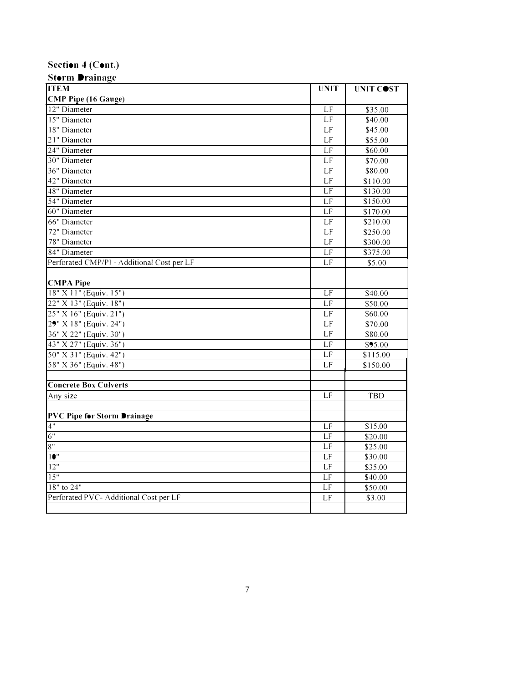# **Section 4 (Cont.)**

| <b>Storm Drainage</b>                      |                 |            |  |
|--------------------------------------------|-----------------|------------|--|
| <b>ITEM</b>                                | UNIT            | UNIT COST  |  |
| <b>CMP Pipe (16 Gauge)</b>                 |                 |            |  |
| 12" Diameter                               | LF              | \$35.00    |  |
| 15" Diameter                               | LF              | \$40.00    |  |
| 18" Diameter                               | LF              | \$45.00    |  |
| 21" Diameter                               | LF              | \$55.00    |  |
| 24" Diameter                               | LF              | \$60.00    |  |
| 30" Diameter                               | LF              | \$70.00    |  |
| 36" Diameter                               | LF              | \$80.00    |  |
| 42" Diameter                               | LF              | \$110.00   |  |
| 48" Diameter                               | LF              | \$130.00   |  |
| 54" Diameter                               | LF              | \$150.00   |  |
| 60" Diameter                               | LF              | \$170.00   |  |
| 66" Diameter                               | LF              | \$210.00   |  |
| 72" Diameter                               | LF              | \$250.00   |  |
| 78" Diameter                               | LF              | \$300.00   |  |
| 84" Diameter                               | LF              | \$375.00   |  |
| Perforated CMP/P1 - Additional Cost per LF | $\overline{LF}$ | \$5.00     |  |
|                                            |                 |            |  |
| <b>CMPA Pipe</b>                           |                 |            |  |
| 18" X 11" (Equiv. 15")                     | LF              | \$40.00    |  |
| 22" X 13" (Equiv. 18")                     | LF              | \$50.00    |  |
| 25" X 16" (Equiv. 21")                     | LF              | \$60.00    |  |
| 29" X 18" (Equiv. 24")                     | LF              | \$70.00    |  |
| 36" X 22" (Equiv. 30")                     | LF              | \$80.00    |  |
| 43" X 27" (Equiv. 36")                     | LF              | \$95.00    |  |
| 50" X 31" (Equiv. 42")                     | LF              | \$115.00   |  |
| 58" X 36" (Equiv. 48")                     | LF              | \$150.00   |  |
|                                            |                 |            |  |
| <b>Concrete Box Culverts</b>               |                 |            |  |
| Any size                                   | LF              | <b>TBD</b> |  |
|                                            |                 |            |  |
| <b>PVC Pipe for Storm Drainage</b>         |                 |            |  |
| 4"                                         | LF              | \$15.00    |  |
| $\overline{6"}$                            | LF              | \$20.00    |  |
| 8"                                         | LF              | \$25.00    |  |
| 10"                                        | LF              | \$30.00    |  |
| 12"                                        | LF              | \$35.00    |  |
| 15"                                        | LF              | \$40.00    |  |
| $18"$ to $24"$                             | LF              | \$50.00    |  |
| Perforated PVC- Additional Cost per LF     | LF              | \$3.00     |  |
|                                            |                 |            |  |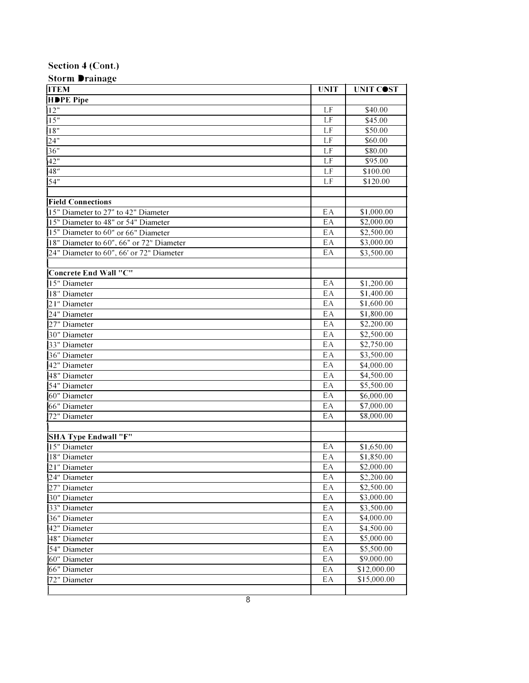## **Section 4 (Cont.)**

| <b>Storm Drainage</b>                    |                                     |             |
|------------------------------------------|-------------------------------------|-------------|
| <b>ITEM</b>                              | <b>UNIT</b>                         | UNIT COST   |
| HDPE Pipe                                |                                     |             |
| 12"                                      | LF                                  | \$40.00     |
| 15"                                      | LF                                  | \$45.00     |
| 18"                                      | LF                                  | \$50.00     |
| 24"                                      | LF                                  | \$60.00     |
| 36"                                      | LF                                  | \$80.00     |
| 42"                                      | LF                                  | \$95.00     |
| 48"                                      | LF                                  | \$100.00    |
| 54"                                      | LF                                  | \$120.00    |
|                                          |                                     |             |
| <b>Field Connections</b>                 |                                     |             |
| 15" Diameter to 27" to 42" Diameter      | EA                                  | \$1,000.00  |
| 15" Diameter to 48" or 54" Diameter      | EA                                  | \$2,000.00  |
| 15" Diameter to 60" or 66" Diameter      | EA                                  | \$2,500.00  |
| 18" Diameter to 60", 66" or 72" Diameter | EA                                  | \$3,000.00  |
| 24" Diameter to 60", 66' or 72" Diameter | EA                                  | \$3,500.00  |
|                                          |                                     |             |
| Concrete End Wall "C"                    |                                     |             |
| 15" Diameter                             | EA                                  | \$1,200.00  |
| 18" Diameter                             | EA                                  | \$1,400.00  |
| 21" Diameter                             | EA                                  | \$1,600.00  |
| 24" Diameter                             | EA                                  | \$1,800.00  |
| 27" Diameter                             | EA                                  | \$2,200.00  |
| 30" Diameter                             | EA                                  | \$2,500.00  |
| 33" Diameter                             | EA                                  | \$2,750.00  |
| 36" Diameter                             | EA                                  | \$3,500.00  |
| 42" Diameter                             | EA                                  | \$4,000.00  |
| 48" Diameter                             | EA                                  | \$4,500.00  |
| 54" Diameter                             | EA                                  | \$5,500.00  |
| 60" Diameter                             | EA                                  | \$6,000.00  |
| 66" Diameter                             | EA                                  | \$7,000.00  |
| 72" Diameter                             | EA                                  | \$8,000.00  |
|                                          |                                     |             |
| SHA Type Endwall "F"                     |                                     |             |
| 15" Diameter                             | EA                                  | \$1,650.00  |
| 18" Diameter                             | $\mathsf{E}\hspace{.5pt}\mathsf{A}$ | \$1,850.00  |
| 21" Diameter                             | EA                                  | \$2,000.00  |
| 24" Diameter                             | EА                                  | \$2,200.00  |
| 27" Diameter                             | EA                                  | \$2,500.00  |
| 30" Diameter                             | EA                                  | \$3,000.00  |
| 33" Diameter                             | ЕA                                  | \$3,500.00  |
| 36" Diameter                             | EA                                  | \$4,000.00  |
| 42" Diameter                             | EA                                  | \$4,500.00  |
| 48" Diameter                             | ЕA                                  | \$5,000.00  |
| 54" Diameter                             | EA                                  | \$5,500.00  |
| 60" Diameter                             | EA                                  | \$9,000.00  |
| 66" Diameter                             | EA                                  | \$12,000.00 |
| 72" Diameter                             | ЕA                                  | \$15,000.00 |
|                                          |                                     |             |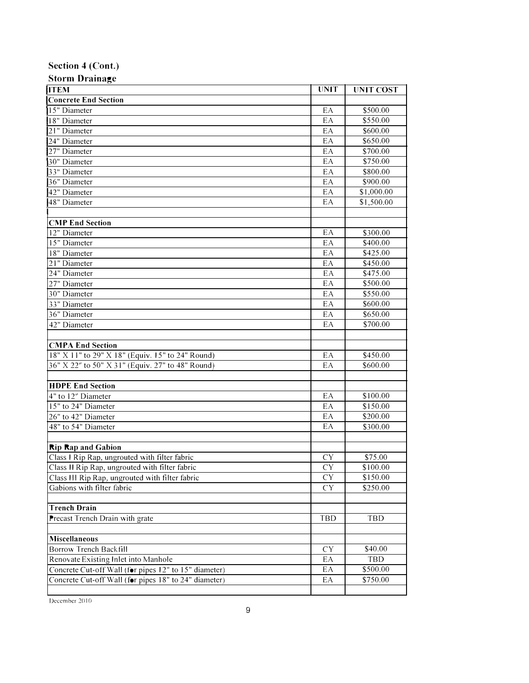#### **Section 4 (Cont.)**

| <b>Storm Drainage</b>                                 |             |                      |
|-------------------------------------------------------|-------------|----------------------|
| <b>ITEM</b>                                           | <b>UNIT</b> | <b>UNIT COST</b>     |
| <b>Concrete End Section</b>                           |             |                      |
| 15" Diameter                                          | EA          | \$500.00             |
| 18" Diameter                                          | EA          | \$550.00             |
| 21" Diameter                                          | EA          | \$600.00             |
| 24" Diameter                                          | EA          | \$650.00             |
| 27" Diameter                                          | EA          | \$700.00             |
| 30" Diameter                                          | EA          | \$750.00             |
| 33" Diameter                                          | EA          | \$800.00             |
| 36" Diameter                                          | EA          | \$900.00             |
| 42" Diameter                                          | EA          | \$1,000.00           |
| 48" Diameter                                          | EA          | \$1,500.00           |
| <b>CMP</b> End Section                                |             |                      |
| 12" Diameter                                          | EA          | \$300.00             |
| 15" Diameter                                          | EA          | \$400.00             |
| 18" Diameter                                          | EA          | \$425.00             |
| 21" Diameter                                          | EA          |                      |
| 24" Diameter                                          | EA          | \$450.00<br>\$475.00 |
| 27" Diameter                                          | EA          |                      |
| 30" Diameter                                          | EA          | \$500.00<br>\$550.00 |
|                                                       | EA          | \$600.00             |
| 33" Diameter<br>36" Diameter                          | EA          |                      |
|                                                       |             | \$650.00<br>\$700.00 |
| 42" Diameter                                          | EA          |                      |
| <b>CMPA End Section</b>                               |             |                      |
| 18" X 11" to 29" X 18" (Equiv. 15" to 24" Round)      | EA          | \$450.00             |
| 36" X 22" to 50" X 31" (Equiv. 27" to 48" Round)      | EA          | \$600.00             |
|                                                       |             |                      |
| <b>HDPE End Section</b><br>4" to 12" Diameter         | EA          | \$100.00             |
| 15" to 24" Diameter                                   | EA          | \$150.00             |
| 26" to 42" Diameter                                   | EA          | \$200.00             |
| 48" to 54" Diameter                                   | EA          | \$300.00             |
|                                                       |             |                      |
| <b>Rip Rap and Gabion</b>                             |             |                      |
| Class I Rip Rap, ungrouted with filter fabric         | <b>CY</b>   | \$75.00              |
| Class II Rip Rap, ungrouted with filter fabric        | <b>CY</b>   | \$100.00             |
| Class III Rip Rap, ungrouted with filter fabric       | <b>CY</b>   | \$150.00             |
| Gabions with filter fabric                            | CY          | \$250.00             |
| <b>Trench Drain</b>                                   |             |                      |
| Precast Trench Drain with grate                       | TBD         | TBD                  |
|                                                       |             |                      |
| Miscellaneous                                         |             |                      |
| Borrow Trench Backfill                                | <b>CY</b>   | \$40.00              |
| Renovate Existing Inlet into Manhole                  | EA          | TBD                  |
| Concrete Cut-off Wall (for pipes 12" to 15" diameter) | EA          | \$500.00             |
| Concrete Cut-off Wall (for pipes 18" to 24" diameter) | EA          | \$750.00             |
|                                                       |             |                      |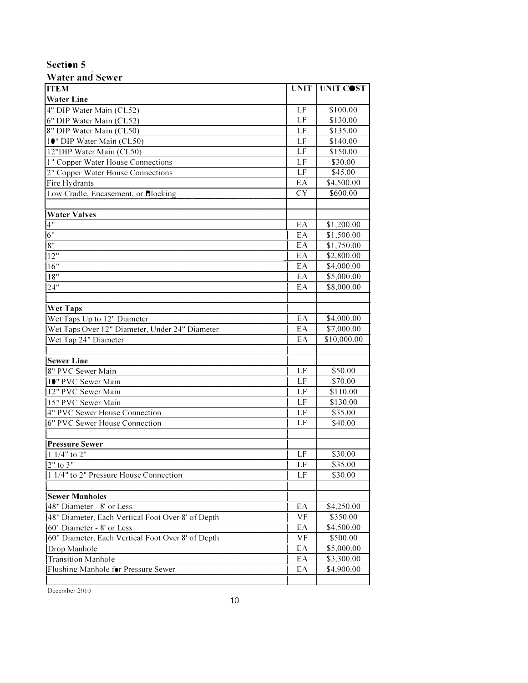| <b>Water and Sewer</b> |  |  |
|------------------------|--|--|
|------------------------|--|--|

| <b>ITEM</b>                                        | <b>UNIT</b> | UNIT COST              |
|----------------------------------------------------|-------------|------------------------|
| <b>Water Line</b>                                  |             |                        |
| 4" DIP Water Main (CL52)                           | LF          | \$100.00               |
| 6" DIP Water Main (CL52)                           | LF          | \$130.00               |
| 8" DIP Water Main (CL50)                           | LF          | \$135.00               |
| 10" DIP Water Main (CL50)                          | LF          | \$140.00               |
| 12"DIP Water Main (CL50)                           | LF          | \$150.00               |
| 1" Copper Water House Connections                  | LF          | \$30.00                |
| 2" Copper Water House Connections                  | LF          | \$45.00                |
| Fire Hydrants                                      | EA          | \$4,500.00             |
| Low Cradle, Encasement, or Blocking                | <b>CY</b>   | \$600.00               |
|                                                    |             |                        |
| <b>Water Valves</b>                                |             |                        |
| 4"                                                 | EA          | \$1,200.00             |
| 6"                                                 | EA          | \$1,500.00             |
| 8"                                                 | EA          | $\overline{$1,750.00}$ |
| 12"                                                | EA          | \$2,800.00             |
| 16"                                                | EA          | \$4,000.00             |
| 18"                                                | EA          | \$5,000.00             |
| 24"                                                | EA          | \$8,000.00             |
| <b>Wet Taps</b>                                    |             |                        |
| Wet Taps Up to 12" Diameter                        | EA          | \$4,000.00             |
| Wet Taps Over 12" Diameter, Under 24" Diameter     | EA          | \$7,000.00             |
| Wet Tap 24" Diameter                               | EA          | \$10,000.00            |
|                                                    |             |                        |
| <b>Sewer Line</b>                                  |             |                        |
| 8" PVC Sewer Main                                  | LF          | \$50.00                |
| 10" PVC Sewer Main                                 | LF          | \$70.00                |
| 12" PVC Sewer Main                                 | LF          | \$110.00               |
| 15" PVC Sewer Main                                 | LF          | \$130.00               |
| 4" PVC Sewer House Connection                      | LF          | \$35.00                |
| 6" PVC Sewer House Connection                      | LF          | \$40.00                |
| <b>Pressure Sewer</b>                              |             |                        |
| $11/4"$ to $2"$                                    | LF          | \$30.00                |
| 2" to 3"                                           | LF          | \$35.00                |
| 1 1/4" to 2" Pressure House Connection             | LF          | \$30.00                |
|                                                    |             |                        |
| <b>Sewer Manholes</b><br>48" Diameter - 8' or Less | EA          |                        |
|                                                    | VF          | \$4,250.00<br>\$350.00 |
| 48" Diameter, Each Vertical Foot Over 8' of Depth  |             | \$4,500.00             |
| 60" Diameter - 8' or Less                          | EA          |                        |
| 60" Diameter, Each Vertical Foot Over 8' of Depth  | VF          | \$500.00               |
| Drop Manhole                                       | EA          | \$5,000.00             |
| <b>Transition Manhole</b>                          | EA          | \$3,300.00             |
| Flushing Manhole for Pressure Sewer                | EA          | \$4,900.00             |

December 20 IO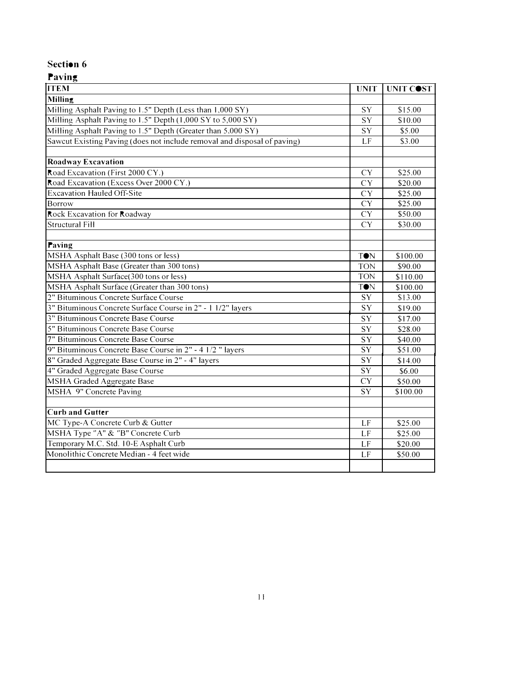| o<br><b>ITEM</b>                                                         | <b>UNIT</b> | UNIT COST |
|--------------------------------------------------------------------------|-------------|-----------|
| Milling                                                                  |             |           |
| Milling Asphalt Paving to 1.5" Depth (Less than 1,000 SY)                | SY          | \$15.00   |
| Milling Asphalt Paving to 1.5" Depth (1,000 SY to 5,000 SY)              | SY          | \$10.00   |
| Milling Asphalt Paving to 1.5" Depth (Greater than 5,000 SY)             | SY          | \$5.00    |
| Sawcut Existing Paving (does not include removal and disposal of paving) | LF          | \$3.00    |
|                                                                          |             |           |
| <b>Roadway Excavation</b>                                                |             |           |
| Road Excavation (First 2000 CY.)                                         | <b>CY</b>   | \$25.00   |
| Road Excavation (Excess Over 2000 CY.)                                   | <b>CY</b>   | \$20.00   |
| <b>Excavation Hauled Off-Site</b>                                        | <b>CY</b>   | \$25.00   |
| Borrow                                                                   | <b>CY</b>   | \$25.00   |
| Rock Excavation for Roadway                                              | <b>CY</b>   | \$50.00   |
| <b>Structural Fill</b>                                                   | <b>CY</b>   | \$30.00   |
|                                                                          |             |           |
| Paving                                                                   |             |           |
| MSHA Asphalt Base (300 tons or less)                                     | <b>TON</b>  | \$100.00  |
| MSHA Asphalt Base (Greater than 300 tons)                                | <b>TON</b>  | \$90.00   |
| MSHA Asphalt Surface(300 tons or less)                                   | <b>TON</b>  | \$110.00  |
| MSHA Asphalt Surface (Greater than 300 tons)                             | <b>TON</b>  | \$100.00  |
| 2" Bituminous Concrete Surface Course                                    | SY          | \$13.00   |
| 3" Bituminous Concrete Surface Course in 2" - 1 1/2" layers              | SY          | \$19.00   |
| 3" Bituminous Concrete Base Course                                       | SY          | \$17.00   |
| 5" Bituminous Concrete Base Course                                       | SY          | \$28.00   |
| 7" Bituminous Concrete Base Course                                       | SY          | \$40.00   |
| 9" Bituminous Concrete Base Course in 2" - 4 1/2" layers                 | SY          | \$51.00   |
| 8" Graded Aggregate Base Course in 2" - 4" layers                        | SY          | \$14.00   |
| 4" Graded Aggregate Base Course                                          | SY          | \$6.00    |
| MSHA Graded Aggregate Base                                               | <b>CY</b>   | \$50.00   |
| MSHA 9" Concrete Paving                                                  | SY          | \$100.00  |
|                                                                          |             |           |
| <b>Curb and Gutter</b>                                                   |             |           |
| MC Type-A Concrete Curb & Gutter                                         | LF          | \$25.00   |
| MSHA Type "A" & "B" Concrete Curb                                        | LF          | \$25.00   |
| Temporary M.C. Std. 10-E Asphalt Curb                                    | LF          | \$20.00   |
| Monolithic Concrete Median - 4 feet wide                                 | LF          | \$50.00   |
|                                                                          |             |           |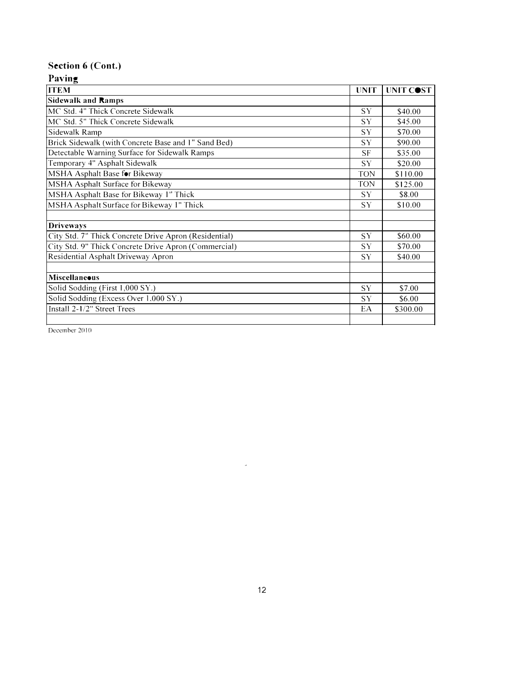# **Section 6 (Cont.)**

# **Paving**

| <b>ITEM</b>                                           | <b>UNIT</b> | UNIT COST |
|-------------------------------------------------------|-------------|-----------|
| <b>Sidewalk and Ramps</b>                             |             |           |
| MC Std. 4" Thick Concrete Sidewalk                    | <b>SY</b>   | \$40.00   |
| MC Std. 5" Thick Concrete Sidewalk                    | <b>SY</b>   | \$45.00   |
| Sidewalk Ramp                                         | SY          | \$70.00   |
| Brick Sidewalk (with Concrete Base and 1" Sand Bed)   | <b>SY</b>   | \$90.00   |
| Detectable Warning Surface for Sidewalk Ramps         | SF          | \$35.00   |
| Temporary 4" Asphalt Sidewalk                         | <b>SY</b>   | \$20.00   |
| MSHA Asphalt Base for Bikeway                         | <b>TON</b>  | \$110.00  |
| MSHA Asphalt Surface for Bikeway                      | <b>TON</b>  | \$125.00  |
| MSHA Asphalt Base for Bikeway 1" Thick                | <b>SY</b>   | \$8.00    |
| MSHA Asphalt Surface for Bikeway 1" Thick             | <b>SY</b>   | \$10.00   |
|                                                       |             |           |
| <b>Driveways</b>                                      |             |           |
| City Std. 7" Thick Concrete Drive Apron (Residential) | SY          | \$60.00   |
| City Std. 9" Thick Concrete Drive Apron (Commercial)  | <b>SY</b>   | \$70.00   |
| Residential Asphalt Driveway Apron                    | SY          | \$40.00   |
|                                                       |             |           |
| <b>Miscellaneous</b>                                  |             |           |
| Solid Sodding (First 1,000 SY.)                       | <b>SY</b>   | \$7.00    |
| Solid Sodding (Excess Over 1,000 SY.)                 | SY          | \$6.00    |
| Install 2-1/2" Street Trees                           | EA          | \$300.00  |
|                                                       |             |           |

December 2010

 $\hat{\mathcal{L}}$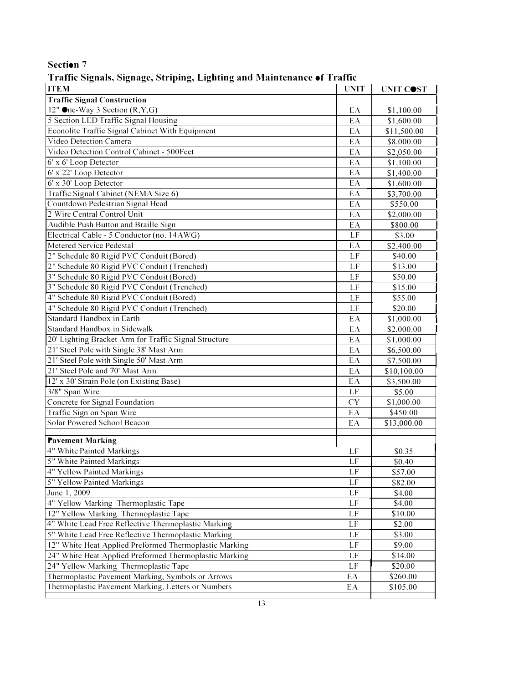| <b>TTEM</b>                                            | <b>UNIT</b>      | UNIT COST   |
|--------------------------------------------------------|------------------|-------------|
| <b>Traffic Signal Construction</b>                     |                  |             |
| 12" One-Way 3 Section $(R, Y, G)$                      | EA               | \$1,100.00  |
| 5 Section LED Traffic Signal Housing                   | EA               | \$1,600.00  |
| Econolite Traffic Signal Cabinet With Equipment        | EA               | \$11,500.00 |
| Video Detection Camera                                 | EA               | \$8,000.00  |
| Video Detection Control Cabinet - 500Feet              | EA               | \$2,050.00  |
| 6' x 6' Loop Detector                                  | EA               | \$1,100.00  |
| 6' x 22' Loop Detector                                 | EA               | \$1,400.00  |
| 6' x 30' Loop Detector                                 | EA               | \$1,600.00  |
| Traffic Signal Cabinet (NEMA Size 6)                   | EA               | \$3,700.00  |
| Countdown Pedestrian Signal Head                       | EA               | \$550.00    |
| 2 Wire Central Control Unit                            | EA               | \$2,000.00  |
| Audible Push Button and Braille Sign                   | EA               | \$800.00    |
| Electrical Cable - 5 Conductor (no. 14AWG)             | LF               | \$3.00      |
| Metered Service Pedestal                               | EA               | \$2,400.00  |
| 2" Schedule 80 Rigid PVC Conduit (Bored)               | LF               | \$40.00     |
| 2" Schedule 80 Rigid PVC Conduit (Trenched)            | LF               | \$13.00     |
| 3" Schedule 80 Rigid PVC Conduit (Bored)               | LF               | \$50.00     |
| 3" Schedule 80 Rigid PVC Conduit (Trenched)            | LF               | \$15.00     |
| 4" Schedule 80 Rigid PVC Conduit (Bored)               | LF               | \$55.00     |
| 4" Schedule 80 Rigid PVC Conduit (Trenched)            | $\overline{LF}$  | \$20.00     |
| Standard Handbox in Earth                              | EA               | \$1,000.00  |
| Standard Handbox in Sidewalk                           | EA               | \$2,000.00  |
| 20' Lighting Bracket Arm for Traffic Signal Structure  | EA               | \$1,000.00  |
| 21' Steel Pole with Single 38' Mast Arm                | EA               | \$6,500.00  |
| 21' Steel Pole with Single 50' Mast Arm                | EA               | \$7,500.00  |
| 21' Steel Pole and 70' Mast Arm                        | EA               | \$10,100.00 |
| 12' x 30' Strain Pole (on Existing Base)               | EA               | \$3,500.00  |
| 3/8" Span Wire<br>Concrete for Signal Foundation       | LF               | \$5.00      |
| Traffic Sign on Span Wire                              | ${\rm CY}$<br>EA | \$1,000.00  |
| Solar Powered School Beacon                            | EA               | \$450.00    |
|                                                        |                  | \$13,000.00 |
| <b>Pavement Marking</b>                                |                  |             |
| 4" White Painted Markings                              | LF               | \$0.35      |
| 5" White Painted Markings                              | $\rm LF$         | \$0.40      |
| 4" Yellow Painted Markings                             | LF               | \$57.00     |
| 5" Yellow Painted Markings                             | LF               | \$82.00     |
| June 1, 2009                                           | LF               | \$4.00      |
| 4" Yellow Marking Thermoplastic Tape                   | LF               | \$4.00      |
| 12" Yellow Marking Thermoplastic Tape                  | LF               | \$10.00     |
| 4" White Lead Free Reflective Thermoplastic Marking    | LF               | \$2.00      |
| 5" White Lead Free Reflective Thermoplastic Marking    | LF               | \$3.00      |
| 12" White Heat Applied Preformed Thermoplastic Marking | LF               | \$9.00      |
| 24" White Heat Applied Preformed Thermoplastic Marking | LF               | \$14.00     |
| 24" Yellow Marking Thermoplastic Tape                  | LF               | \$20.00     |
| Thermoplastic Pavement Marking, Symbols or Arrows      | EA               | \$260.00    |
| Thermoplastic Pavement Marking, Letters or Numbers     | EA               | \$105.00    |
|                                                        |                  |             |

**Traffic Signals, Signage, Striping, Lighting and Maintenance of Traffic**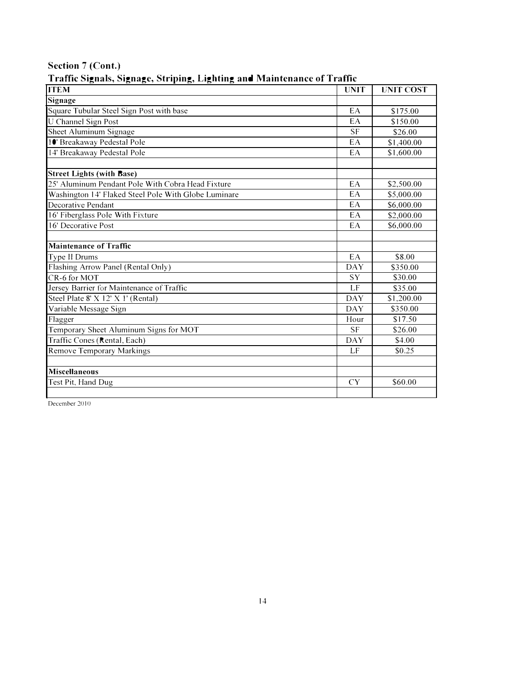| <b>ITEM</b>                                          | <b>UNIT</b> | <b>UNIT COST</b> |
|------------------------------------------------------|-------------|------------------|
| Signage                                              |             |                  |
| Square Tubular Steel Sign Post with base             | EA          | \$175.00         |
| <b>U</b> Channel Sign Post                           | EA          | \$150.00         |
| Sheet Aluminum Signage                               | <b>SF</b>   | \$26.00          |
| 10' Breakaway Pedestal Pole                          | EA          | \$1,400.00       |
| 14' Breakaway Pedestal Pole                          | EA          | \$1,600.00       |
| <b>Street Lights (with Base)</b>                     |             |                  |
| 25' Aluminum Pendant Pole With Cobra Head Fixture    | EA          | \$2,500.00       |
| Washington 14' Flaked Steel Pole With Globe Luminare | EA          | \$5,000.00       |
| Decorative Pendant                                   | EA          | \$6,000.00       |
| 16' Fiberglass Pole With Fixture                     | EA          | \$2,000.00       |
| 16' Decorative Post                                  | EA          | \$6,000.00       |
| <b>Maintenance of Traffic</b>                        |             |                  |
| Type II Drums                                        | EA          | \$8.00           |
| Flashing Arrow Panel (Rental Only)                   | <b>DAY</b>  | \$350.00         |
| CR-6 for MOT                                         | SY          | \$30.00          |
| Jersey Barrier for Maintenance of Traffic            | LF          | \$35.00          |
| Steel Plate 8' X 12' X 1' (Rental)                   | <b>DAY</b>  | \$1,200.00       |
| Variable Message Sign                                | <b>DAY</b>  | \$350.00         |
| Flagger                                              | Hour        | \$17.50          |
| Temporary Sheet Aluminum Signs for MOT               | <b>SF</b>   | \$26.00          |
| Traffic Cones (Rental, Each)                         | <b>DAY</b>  | \$4.00           |
| <b>Remove Temporary Markings</b>                     | LF          | \$0.25           |
|                                                      |             |                  |
| <b>Miscellaneous</b>                                 |             |                  |
| Test Pit, Hand Dug                                   | <b>CY</b>   | \$60.00          |
|                                                      |             |                  |

## **Section 7 (Cont.) Traffic Signals, Signage, Striping, Lighting and Maintenance of Traffic**